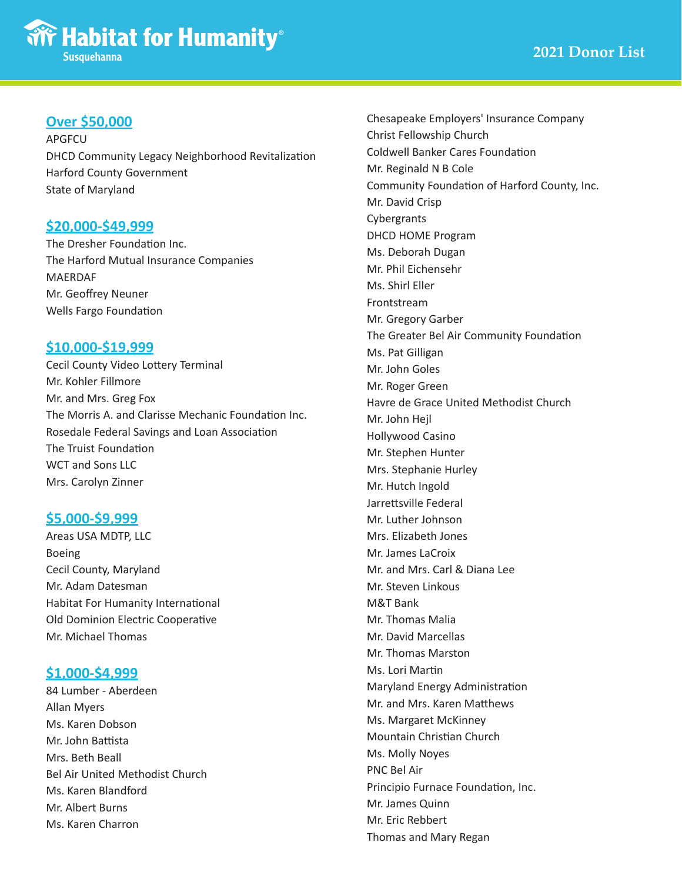# **Over \$50,000**

APGFCU DHCD Community Legacy Neighborhood Revitalization Harford County Government State of Maryland

## **\$20,000-\$49,999**

The Dresher Foundation Inc. The Harford Mutual Insurance Companies MAERDAF Mr. Geoffrey Neuner Wells Fargo Foundation

## **\$10,000-\$19,999**

Cecil County Video Lottery Terminal Mr. Kohler Fillmore Mr. and Mrs. Greg Fox The Morris A. and Clarisse Mechanic Foundation Inc. Rosedale Federal Savings and Loan Association The Truist Foundation WCT and Sons LLC Mrs. Carolyn Zinner

## **\$5,000-\$9,999**

Areas USA MDTP, LLC Boeing Cecil County, Maryland Mr. Adam Datesman Habitat For Humanity International Old Dominion Electric Cooperative Mr. Michael Thomas

## **\$1,000-\$4,999**

84 Lumber - Aberdeen Allan Myers Ms. Karen Dobson Mr. John Battista Mrs. Beth Beall Bel Air United Methodist Church Ms. Karen Blandford Mr. Albert Burns Ms. Karen Charron

Chesapeake Employers' Insurance Company Christ Fellowship Church Coldwell Banker Cares Foundation Mr. Reginald N B Cole Community Foundation of Harford County, Inc. Mr. David Crisp Cybergrants DHCD HOME Program Ms. Deborah Dugan Mr. Phil Eichensehr Ms. Shirl Eller Frontstream Mr. Gregory Garber The Greater Bel Air Community Foundation Ms. Pat Gilligan Mr. John Goles Mr. Roger Green Havre de Grace United Methodist Church Mr. John Hejl Hollywood Casino Mr. Stephen Hunter Mrs. Stephanie Hurley Mr. Hutch Ingold Jarrettsville Federal Mr. Luther Johnson Mrs. Elizabeth Jones Mr. James LaCroix Mr. and Mrs. Carl & Diana Lee Mr. Steven Linkous M&T Bank Mr. Thomas Malia Mr. David Marcellas Mr. Thomas Marston Ms. Lori Martin Maryland Energy Administration Mr. and Mrs. Karen Matthews Ms. Margaret McKinney Mountain Christian Church Ms. Molly Noyes PNC Bel Air Principio Furnace Foundation, Inc. Mr. James Quinn Mr. Eric Rebbert Thomas and Mary Regan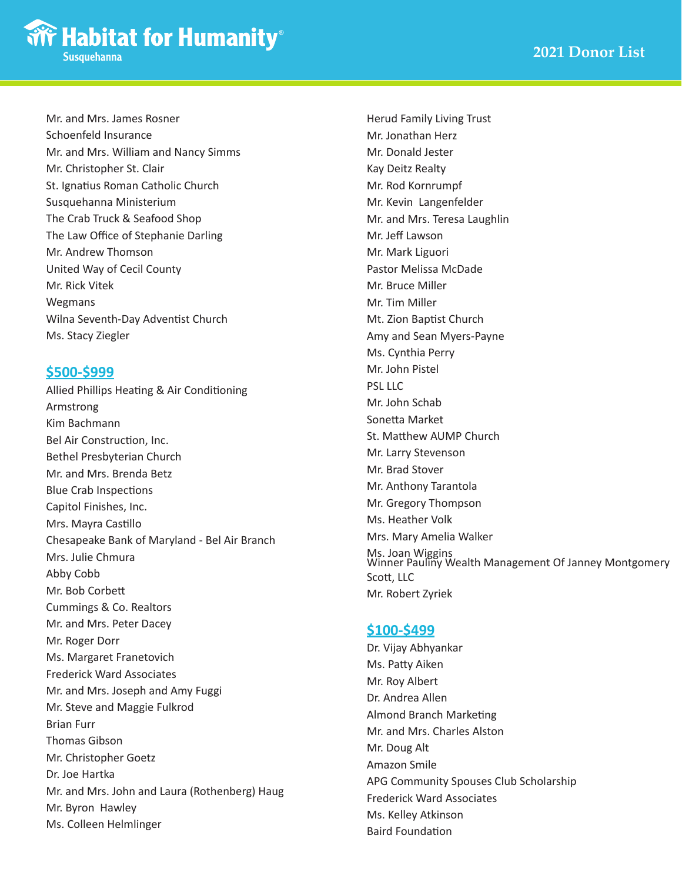

Mr. and Mrs. James Rosner Schoenfeld Insurance Mr. and Mrs. William and Nancy Simms Mr. Christopher St. Clair St. Ignatius Roman Catholic Church Susquehanna Ministerium The Crab Truck & Seafood Shop The Law Office of Stephanie Darling Mr. Andrew Thomson United Way of Cecil County Mr. Rick Vitek Wegmans Wilna Seventh-Day Adventist Church Ms. Stacy Ziegler

## **\$500-\$999**

Allied Phillips Heating & Air Conditioning Armstrong Kim Bachmann Bel Air Construction, Inc. Bethel Presbyterian Church Mr. and Mrs. Brenda Betz Blue Crab Inspections Capitol Finishes, Inc. Mrs. Mayra Castillo Chesapeake Bank of Maryland - Bel Air Branch Mrs. Julie Chmura Abby Cobb Mr. Bob Corbett Cummings & Co. Realtors Mr. and Mrs. Peter Dacey Mr. Roger Dorr Ms. Margaret Franetovich Frederick Ward Associates Mr. and Mrs. Joseph and Amy Fuggi Mr. Steve and Maggie Fulkrod Brian Furr Thomas Gibson Mr. Christopher Goetz Dr. Joe Hartka Mr. and Mrs. John and Laura (Rothenberg) Haug Mr. Byron Hawley Ms. Colleen Helmlinger

Herud Family Living Trust Mr. Jonathan Herz Mr. Donald Jester Kay Deitz Realty Mr. Rod Kornrumpf Mr. Kevin Langenfelder Mr. and Mrs. Teresa Laughlin Mr. Jeff Lawson Mr. Mark Liguori Pastor Melissa McDade Mr. Bruce Miller Mr. Tim Miller Mt. Zion Baptist Church Amy and Sean Myers-Payne Ms. Cynthia Perry Mr. John Pistel PSL LLC Mr. John Schab Sonetta Market St. Matthew AUMP Church Mr. Larry Stevenson Mr. Brad Stover Mr. Anthony Tarantola Mr. Gregory Thompson Ms. Heather Volk Mrs. Mary Amelia Walker Ms. Joan Wiggins Winner Pauliny Wealth Management Of Janney Montgomery Scott, LLC Mr. Robert Zyriek

#### **\$100-\$499**

Dr. Vijay Abhyankar Ms. Patty Aiken Mr. Roy Albert Dr. Andrea Allen Almond Branch Marketing Mr. and Mrs. Charles Alston Mr. Doug Alt Amazon Smile APG Community Spouses Club Scholarship Frederick Ward Associates Ms. Kelley Atkinson Baird Foundation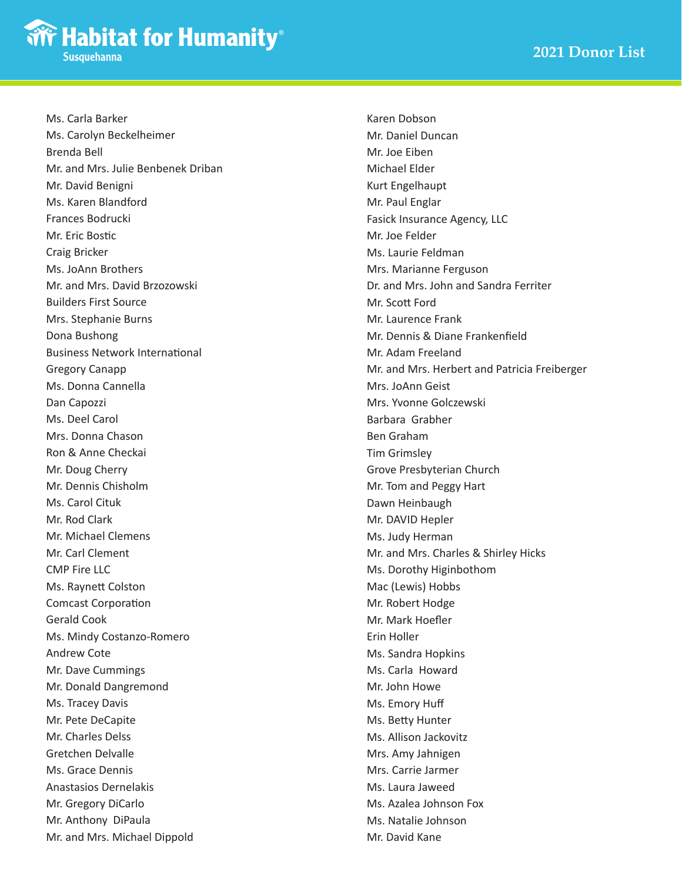Ms. Carla Barker Ms. Carolyn Beckelheimer Brenda Bell Mr. and Mrs. Julie Benbenek Driban Mr. David Benigni Ms. Karen Blandford Frances Bodrucki Mr. Eric Bostic Craig Bricker Ms. JoAnn Brothers Mr. and Mrs. David Brzozowski Builders First Source Mrs. Stephanie Burns Dona Bushong Business Network International Gregory Canapp Ms. Donna Cannella Dan Capozzi Ms. Deel Carol Mrs. Donna Chason Ron & Anne Checkai Mr. Doug Cherry Mr. Dennis Chisholm Ms. Carol Cituk Mr. Rod Clark Mr. Michael Clemens Mr. Carl Clement CMP Fire LLC Ms. Raynett Colston Comcast Corporation Gerald Cook Ms. Mindy Costanzo-Romero Andrew Cote Mr. Dave Cummings Mr. Donald Dangremond Ms. Tracey Davis Mr. Pete DeCapite Mr. Charles Delss Gretchen Delvalle Ms. Grace Dennis Anastasios Dernelakis Mr. Gregory DiCarlo Mr. Anthony DiPaula Mr. and Mrs. Michael Dippold

Karen Dobson Mr. Daniel Duncan Mr. Joe Eiben Michael Elder Kurt Engelhaupt Mr. Paul Englar Fasick Insurance Agency, LLC Mr. Joe Felder Ms. Laurie Feldman Mrs. Marianne Ferguson Dr. and Mrs. John and Sandra Ferriter Mr. Scott Ford Mr. Laurence Frank Mr. Dennis & Diane Frankenfield Mr. Adam Freeland Mr. and Mrs. Herbert and Patricia Freiberger Mrs. JoAnn Geist Mrs. Yvonne Golczewski Barbara Grabher Ben Graham Tim Grimsley Grove Presbyterian Church Mr. Tom and Peggy Hart Dawn Heinbaugh Mr. DAVID Hepler Ms. Judy Herman Mr. and Mrs. Charles & Shirley Hicks Ms. Dorothy Higinbothom Mac (Lewis) Hobbs Mr. Robert Hodge Mr. Mark Hoefler Erin Holler Ms. Sandra Hopkins Ms. Carla Howard Mr. John Howe Ms. Emory Huff Ms. Betty Hunter Ms. Allison Jackovitz Mrs. Amy Jahnigen Mrs. Carrie Jarmer Ms. Laura Jaweed Ms. Azalea Johnson Fox Ms. Natalie Johnson Mr. David Kane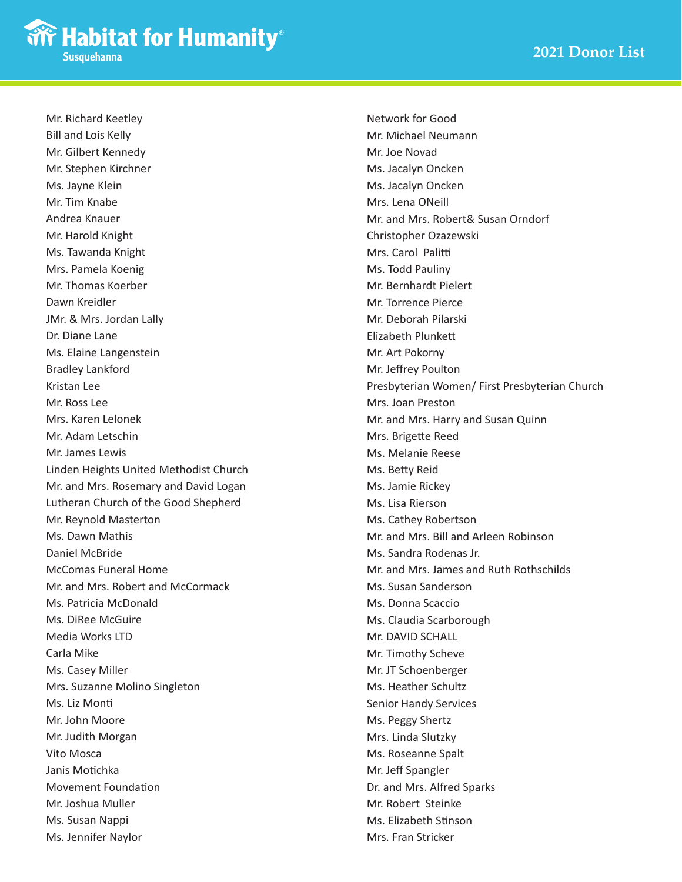Mr. Richard Keetley Bill and Lois Kelly Mr. Gilbert Kennedy Mr. Stephen Kirchner Ms. Jayne Klein Mr. Tim Knabe Andrea Knauer Mr. Harold Knight Ms. Tawanda Knight Mrs. Pamela Koenig Mr. Thomas Koerber Dawn Kreidler JMr. & Mrs. Jordan Lally Dr. Diane Lane Ms. Elaine Langenstein Bradley Lankford Kristan Lee Mr. Ross Lee Mrs. Karen Lelonek Mr. Adam Letschin Mr. James Lewis Linden Heights United Methodist Church Mr. and Mrs. Rosemary and David Logan Lutheran Church of the Good Shepherd Mr. Reynold Masterton Ms. Dawn Mathis Daniel McBride McComas Funeral Home Mr. and Mrs. Robert and McCormack Ms. Patricia McDonald Ms. DiRee McGuire Media Works LTD Carla Mike Ms. Casey Miller Mrs. Suzanne Molino Singleton Ms. Liz Monti Mr. John Moore Mr. Judith Morgan Vito Mosca Janis Motichka Movement Foundation Mr. Joshua Muller Ms. Susan Nappi Ms. Jennifer Naylor

Network for Good Mr. Michael Neumann Mr. Joe Novad Ms. Jacalyn Oncken Ms. Jacalyn Oncken Mrs. Lena ONeill Mr. and Mrs. Robert& Susan Orndorf Christopher Ozazewski Mrs. Carol Palitti Ms. Todd Pauliny Mr. Bernhardt Pielert Mr. Torrence Pierce Mr. Deborah Pilarski Elizabeth Plunkett Mr. Art Pokorny Mr. Jeffrey Poulton Presbyterian Women/ First Presbyterian Church Mrs. Joan Preston Mr. and Mrs. Harry and Susan Quinn Mrs. Brigette Reed Ms. Melanie Reese Ms. Betty Reid Ms. Jamie Rickey Ms. Lisa Rierson Ms. Cathey Robertson Mr. and Mrs. Bill and Arleen Robinson Ms. Sandra Rodenas Jr. Mr. and Mrs. James and Ruth Rothschilds Ms. Susan Sanderson Ms. Donna Scaccio Ms. Claudia Scarborough Mr. DAVID SCHALL Mr. Timothy Scheve Mr. JT Schoenberger Ms. Heather Schultz Senior Handy Services Ms. Peggy Shertz Mrs. Linda Slutzky Ms. Roseanne Spalt Mr. Jeff Spangler Dr. and Mrs. Alfred Sparks Mr. Robert Steinke Ms. Elizabeth Stinson Mrs. Fran Stricker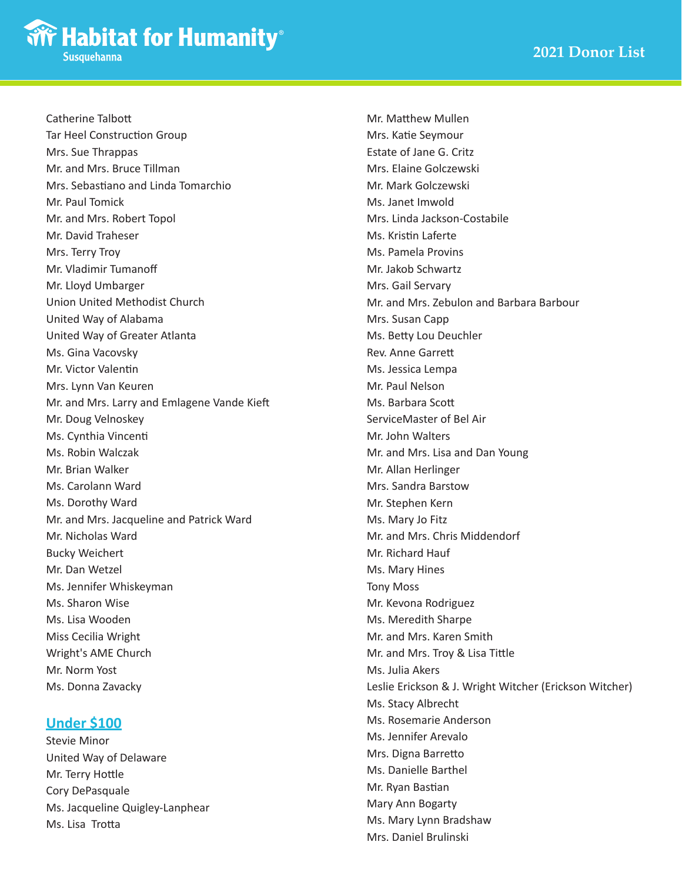

Catherine Talbott Tar Heel Construction Group Mrs. Sue Thrappas Mr. and Mrs. Bruce Tillman Mrs. Sebastiano and Linda Tomarchio Mr. Paul Tomick Mr. and Mrs. Robert Topol Mr. David Traheser Mrs. Terry Troy Mr. Vladimir Tumanoff Mr. Lloyd Umbarger Union United Methodist Church United Way of Alabama United Way of Greater Atlanta Ms. Gina Vacovsky Mr. Victor Valentin Mrs. Lynn Van Keuren Mr. and Mrs. Larry and Emlagene Vande Kieft Mr. Doug Velnoskey Ms. Cynthia Vincenti Ms. Robin Walczak Mr. Brian Walker Ms. Carolann Ward Ms. Dorothy Ward Mr. and Mrs. Jacqueline and Patrick Ward Mr. Nicholas Ward Bucky Weichert Mr. Dan Wetzel Ms. Jennifer Whiskeyman Ms. Sharon Wise Ms. Lisa Wooden Miss Cecilia Wright Wright's AME Church Mr. Norm Yost Ms. Donna Zavacky

## **Under \$100**

Stevie Minor United Way of Delaware Mr. Terry Hottle Cory DePasquale Ms. Jacqueline Quigley-Lanphear Ms. Lisa Trotta

Mr. Matthew Mullen Mrs. Katie Seymour Estate of Jane G. Critz Mrs. Elaine Golczewski Mr. Mark Golczewski Ms. Janet Imwold Mrs. Linda Jackson-Costabile Ms. Kristin Laferte Ms. Pamela Provins Mr. Jakob Schwartz Mrs. Gail Servary Mr. and Mrs. Zebulon and Barbara Barbour Mrs. Susan Capp Ms. Betty Lou Deuchler Rev. Anne Garrett Ms. Jessica Lempa Mr. Paul Nelson Ms. Barbara Scott ServiceMaster of Bel Air Mr. John Walters Mr. and Mrs. Lisa and Dan Young Mr. Allan Herlinger Mrs. Sandra Barstow Mr. Stephen Kern Ms. Mary Jo Fitz Mr. and Mrs. Chris Middendorf Mr. Richard Hauf Ms. Mary Hines Tony Moss Mr. Kevona Rodriguez Ms. Meredith Sharpe Mr. and Mrs. Karen Smith Mr. and Mrs. Troy & Lisa Tittle Ms. Julia Akers Leslie Erickson & J. Wright Witcher (Erickson Witcher) Ms. Stacy Albrecht Ms. Rosemarie Anderson Ms. Jennifer Arevalo Mrs. Digna Barretto Ms. Danielle Barthel Mr. Ryan Bastian Mary Ann Bogarty Ms. Mary Lynn Bradshaw Mrs. Daniel Brulinski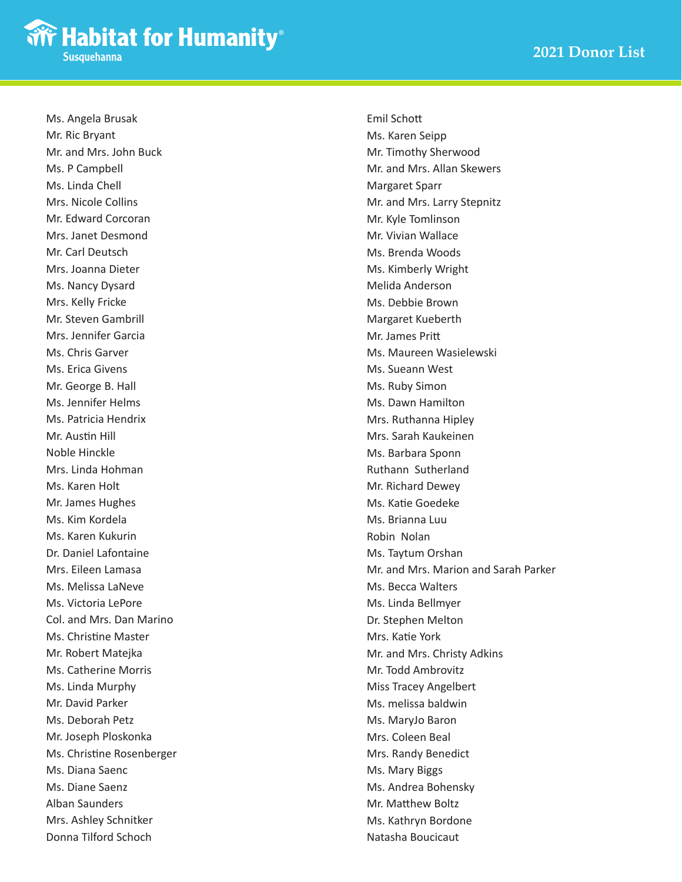Ms. Angela Brusak Mr. Ric Bryant Mr. and Mrs. John Buck Ms. P Campbell Ms. Linda Chell Mrs. Nicole Collins Mr. Edward Corcoran Mrs. Janet Desmond Mr. Carl Deutsch Mrs. Joanna Dieter Ms. Nancy Dysard Mrs. Kelly Fricke Mr. Steven Gambrill Mrs. Jennifer Garcia Ms. Chris Garver Ms. Erica Givens Mr. George B. Hall Ms. Jennifer Helms Ms. Patricia Hendrix Mr. Austin Hill Noble Hinckle Mrs. Linda Hohman Ms. Karen Holt Mr. James Hughes Ms. Kim Kordela Ms. Karen Kukurin Dr. Daniel Lafontaine Mrs. Eileen Lamasa Ms. Melissa LaNeve Ms. Victoria LePore Col. and Mrs. Dan Marino Ms. Christine Master Mr. Robert Matejka Ms. Catherine Morris Ms. Linda Murphy Mr. David Parker Ms. Deborah Petz Mr. Joseph Ploskonka Ms. Christine Rosenberger Ms. Diana Saenc Ms. Diane Saenz Alban Saunders Mrs. Ashley Schnitker Donna Tilford Schoch

Emil Schott Ms. Karen Seipp Mr. Timothy Sherwood Mr. and Mrs. Allan Skewers Margaret Sparr Mr. and Mrs. Larry Stepnitz Mr. Kyle Tomlinson Mr. Vivian Wallace Ms. Brenda Woods Ms. Kimberly Wright Melida Anderson Ms. Debbie Brown Margaret Kueberth Mr. James Pritt Ms. Maureen Wasielewski Ms. Sueann West Ms. Ruby Simon Ms. Dawn Hamilton Mrs. Ruthanna Hipley Mrs. Sarah Kaukeinen Ms. Barbara Sponn Ruthann Sutherland Mr. Richard Dewey Ms. Katie Goedeke Ms. Brianna Luu Robin Nolan Ms. Taytum Orshan Mr. and Mrs. Marion and Sarah Parker Ms. Becca Walters Ms. Linda Bellmyer Dr. Stephen Melton Mrs. Katie York Mr. and Mrs. Christy Adkins Mr. Todd Ambrovitz Miss Tracey Angelbert Ms. melissa baldwin Ms. MaryJo Baron Mrs. Coleen Beal Mrs. Randy Benedict Ms. Mary Biggs Ms. Andrea Bohensky Mr. Matthew Boltz Ms. Kathryn Bordone Natasha Boucicaut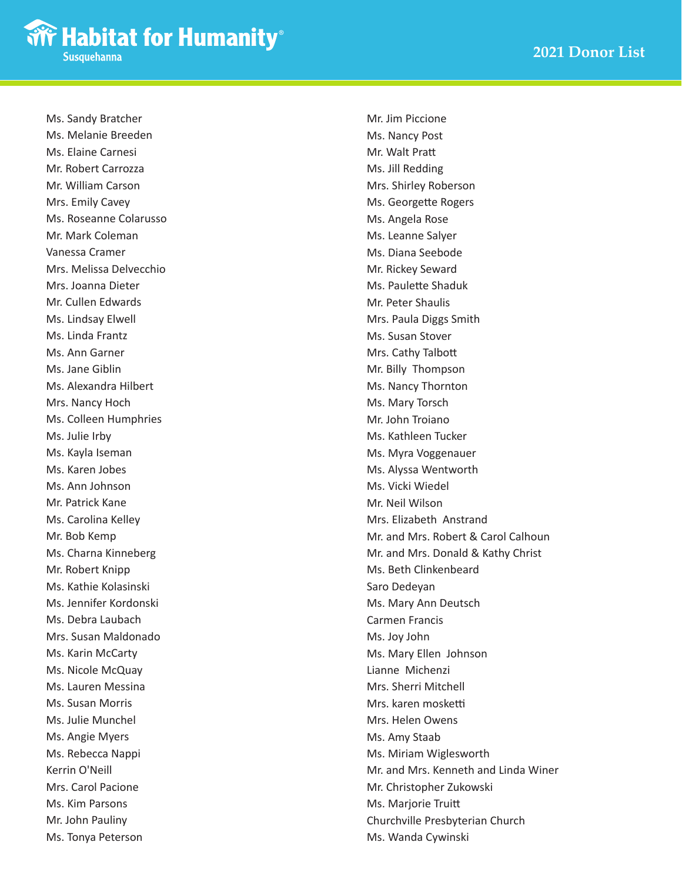Ms. Sandy Bratcher Ms. Melanie Breeden Ms. Elaine Carnesi Mr. Robert Carrozza Mr. William Carson Mrs. Emily Cavey Ms. Roseanne Colarusso Mr. Mark Coleman Vanessa Cramer Mrs. Melissa Delvecchio Mrs. Joanna Dieter Mr. Cullen Edwards Ms. Lindsay Elwell Ms. Linda Frantz Ms. Ann Garner Ms. Jane Giblin Ms. Alexandra Hilbert Mrs. Nancy Hoch Ms. Colleen Humphries Ms. Julie Irby Ms. Kayla Iseman Ms. Karen Jobes Ms. Ann Johnson Mr. Patrick Kane Ms. Carolina Kelley Mr. Bob Kemp Ms. Charna Kinneberg Mr. Robert Knipp Ms. Kathie Kolasinski Ms. Jennifer Kordonski Ms. Debra Laubach Mrs. Susan Maldonado Ms. Karin McCarty Ms. Nicole McQuay Ms. Lauren Messina Ms. Susan Morris Ms. Julie Munchel Ms. Angie Myers Ms. Rebecca Nappi Kerrin O'Neill Mrs. Carol Pacione Ms. Kim Parsons Mr. John Pauliny Ms. Tonya Peterson

Mr. Jim Piccione Ms. Nancy Post Mr. Walt Pratt Ms. Jill Redding Mrs. Shirley Roberson Ms. Georgette Rogers Ms. Angela Rose Ms. Leanne Salyer Ms. Diana Seebode Mr. Rickey Seward Ms. Paulette Shaduk Mr. Peter Shaulis Mrs. Paula Diggs Smith Ms. Susan Stover Mrs. Cathy Talbott Mr. Billy Thompson Ms. Nancy Thornton Ms. Mary Torsch Mr. John Troiano Ms. Kathleen Tucker Ms. Myra Voggenauer Ms. Alyssa Wentworth Ms. Vicki Wiedel Mr. Neil Wilson Mrs. Elizabeth Anstrand Mr. and Mrs. Robert & Carol Calhoun Mr. and Mrs. Donald & Kathy Christ Ms. Beth Clinkenbeard Saro Dedeyan Ms. Mary Ann Deutsch Carmen Francis Ms. Joy John Ms. Mary Ellen Johnson Lianne Michenzi Mrs. Sherri Mitchell Mrs. karen mosketti Mrs. Helen Owens Ms. Amy Staab Ms. Miriam Wiglesworth Mr. and Mrs. Kenneth and Linda Winer Mr. Christopher Zukowski Ms. Marjorie Truitt Churchville Presbyterian Church Ms. Wanda Cywinski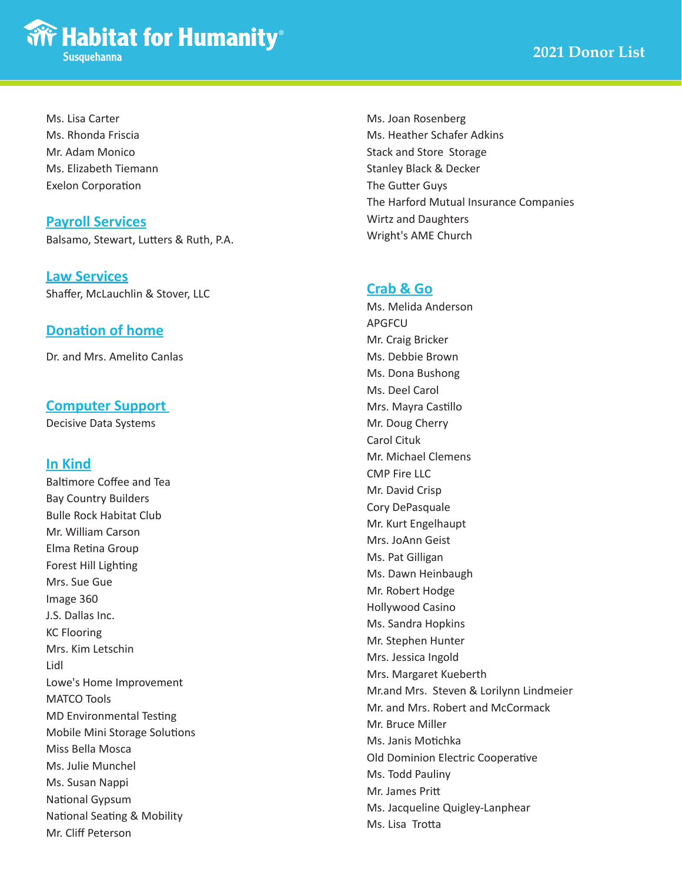

Ms. Lisa Carter Ms. Rhonda Friscia Mr. Adam Monico Ms. Elizabeth Tiemann Exelon Corporation

#### **Payroll Services**

Balsamo, Stewart, Lutters & Ruth, P.A.

**Law Services** Shaffer, McLauchlin & Stover, LLC

### **Donation of home**

Dr. and Mrs. Amelito Canlas

#### **Computer Support**

Decisive Data Systems

#### **In Kind**

Baltimore Coffee and Tea Bay Country Builders Bulle Rock Habitat Club Mr. William Carson Elma Retina Group Forest Hill Lighting Mrs. Sue Gue Image 360 J.S. Dallas Inc. KC Flooring Mrs. Kim Letschin Lidl Lowe's Home Improvement MATCO Tools MD Environmental Testing Mobile Mini Storage Solutions Miss Bella Mosca Ms. Julie Munchel Ms. Susan Nappi National Gypsum National Seating & Mobility Mr. Cliff Peterson

Ms. Joan Rosenberg Ms. Heather Schafer Adkins Stack and Store Storage Stanley Black & Decker The Gutter Guys The Harford Mutual Insurance Companies Wirtz and Daughters Wright's AME Church

#### **Crab & Go**

Ms. Melida Anderson APGFCU Mr. Craig Bricker Ms. Debbie Brown Ms. Dona Bushong Ms. Deel Carol Mrs. Mayra Castillo Mr. Doug Cherry Carol Cituk Mr. Michael Clemens CMP Fire LLC Mr. David Crisp Cory DePasquale Mr. Kurt Engelhaupt Mrs. JoAnn Geist Ms. Pat Gilligan Ms. Dawn Heinbaugh Mr. Robert Hodge Hollywood Casino Ms. Sandra Hopkins Mr. Stephen Hunter Mrs. Jessica Ingold Mrs. Margaret Kueberth Mr.and Mrs. Steven & Lorilynn Lindmeier Mr. and Mrs. Robert and McCormack Mr. Bruce Miller Ms. Janis Motichka Old Dominion Electric Cooperative Ms. Todd Pauliny Mr. James Pritt Ms. Jacqueline Quigley-Lanphear Ms. Lisa Trotta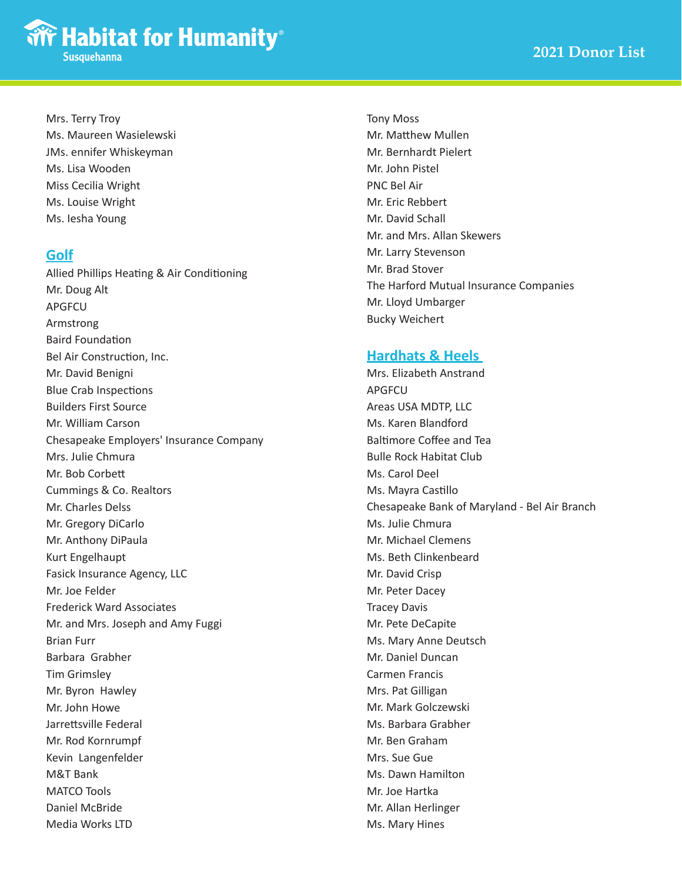#### Mrs. Terry Troy

Ms. Maureen Wasielewski JMs. ennifer Whiskeyman Ms. Lisa Wooden Miss Cecilia Wright Ms. Louise Wright Ms. Iesha Young

#### **Golf**

Allied Phillips Heating & Air Conditioning Mr. Doug Alt APGFCU Armstrong Baird Foundation Bel Air Construction, Inc. Mr. David Benigni Blue Crab Inspections Builders First Source Mr. William Carson Chesapeake Employers' Insurance Company Mrs. Julie Chmura Mr. Bob Corbett Cummings & Co. Realtors Mr. Charles Delss Mr. Gregory DiCarlo Mr. Anthony DiPaula Kurt Engelhaupt Fasick Insurance Agency, LLC Mr. Joe Felder Frederick Ward Associates Mr. and Mrs. Joseph and Amy Fuggi Brian Furr Barbara Grabher Tim Grimsley Mr. Byron Hawley Mr. John Howe Jarrettsville Federal Mr. Rod Kornrumpf Kevin Langenfelder M&T Bank MATCO Tools Daniel McBride Media Works LTD

Tony Moss Mr. Matthew Mullen Mr. Bernhardt Pielert Mr. John Pistel PNC Bel Air Mr. Eric Rebbert Mr. David Schall Mr. and Mrs. Allan Skewers Mr. Larry Stevenson Mr. Brad Stover The Harford Mutual Insurance Companies Mr. Lloyd Umbarger Bucky Weichert

## **Hardhats & Heels**

Mrs. Elizabeth Anstrand APGFCU Areas USA MDTP, LLC Ms. Karen Blandford Baltimore Coffee and Tea Bulle Rock Habitat Club Ms. Carol Deel Ms. Mayra Castillo Chesapeake Bank of Maryland - Bel Air Branch Ms. Julie Chmura Mr. Michael Clemens Ms. Beth Clinkenbeard Mr. David Crisp Mr. Peter Dacey Tracey Davis Mr. Pete DeCapite Ms. Mary Anne Deutsch Mr. Daniel Duncan Carmen Francis Mrs. Pat Gilligan Mr. Mark Golczewski Ms. Barbara Grabher Mr. Ben Graham Mrs. Sue Gue Ms. Dawn Hamilton Mr. Joe Hartka Mr. Allan Herlinger Ms. Mary Hines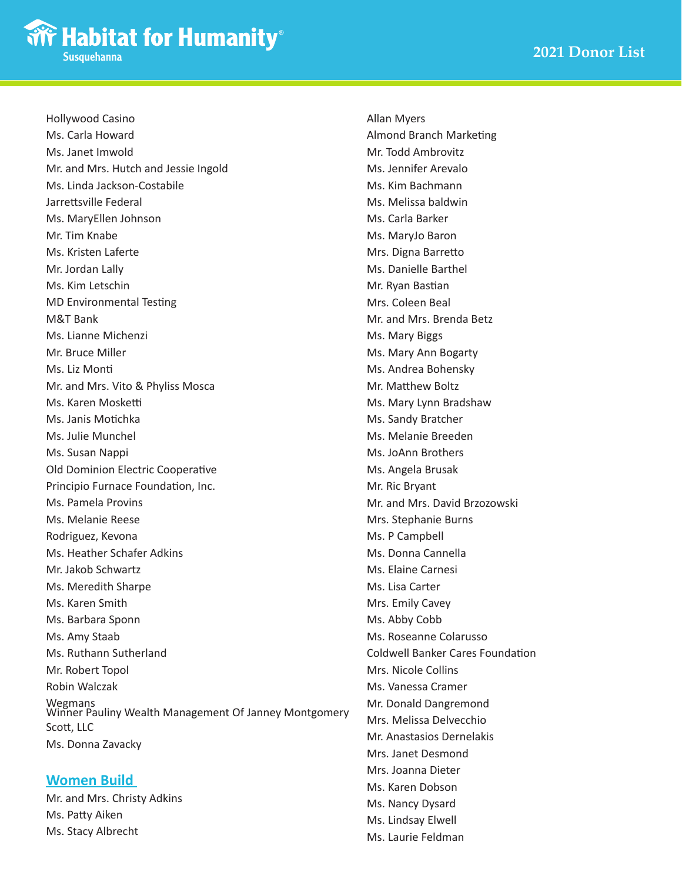Hollywood Casino Ms. Carla Howard Ms. Janet Imwold Mr. and Mrs. Hutch and Jessie Ingold Ms. Linda Jackson-Costabile Jarrettsville Federal Ms. MaryEllen Johnson Mr. Tim Knabe Ms. Kristen Laferte Mr. Jordan Lally Ms. Kim Letschin MD Environmental Testing M&T Bank Ms. Lianne Michenzi Mr. Bruce Miller Ms. Liz Monti Mr. and Mrs. Vito & Phyliss Mosca Ms. Karen Mosketti Ms. Janis Motichka Ms. Julie Munchel Ms. Susan Nappi Old Dominion Electric Cooperative Principio Furnace Foundation, Inc. Ms. Pamela Provins Ms. Melanie Reese Rodriguez, Kevona Ms. Heather Schafer Adkins Mr. Jakob Schwartz Ms. Meredith Sharpe Ms. Karen Smith Ms. Barbara Sponn Ms. Amy Staab Ms. Ruthann Sutherland Mr. Robert Topol Robin Walczak Wegmans Winner Pauliny Wealth Management Of Janney Montgomery Scott, LLC Ms. Donna Zavacky

#### **Women Build**

Mr. and Mrs. Christy Adkins Ms. Patty Aiken Ms. Stacy Albrecht

Allan Myers Almond Branch Marketing Mr. Todd Ambrovitz Ms. Jennifer Arevalo Ms. Kim Bachmann Ms. Melissa baldwin Ms. Carla Barker Ms. MaryJo Baron Mrs. Digna Barretto Ms. Danielle Barthel Mr. Ryan Bastian Mrs. Coleen Beal Mr. and Mrs. Brenda Betz Ms. Mary Biggs Ms. Mary Ann Bogarty Ms. Andrea Bohensky Mr. Matthew Boltz Ms. Mary Lynn Bradshaw Ms. Sandy Bratcher Ms. Melanie Breeden Ms. JoAnn Brothers Ms. Angela Brusak Mr. Ric Bryant Mr. and Mrs. David Brzozowski Mrs. Stephanie Burns Ms. P Campbell Ms. Donna Cannella Ms. Elaine Carnesi Ms. Lisa Carter Mrs. Emily Cavey Ms. Abby Cobb Ms. Roseanne Colarusso Coldwell Banker Cares Foundation Mrs. Nicole Collins Ms. Vanessa Cramer Mr. Donald Dangremond Mrs. Melissa Delvecchio Mr. Anastasios Dernelakis Mrs. Janet Desmond Mrs. Joanna Dieter Ms. Karen Dobson Ms. Nancy Dysard Ms. Lindsay Elwell

Ms. Laurie Feldman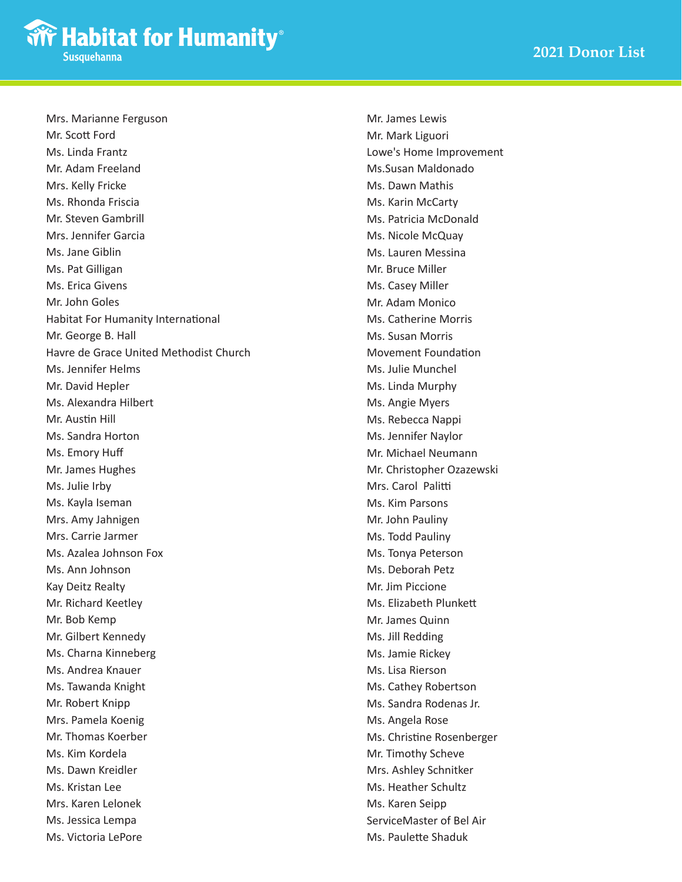Mrs. Marianne Ferguson Mr. Scott Ford Ms. Linda Frantz Mr. Adam Freeland Mrs. Kelly Fricke Ms. Rhonda Friscia Mr. Steven Gambrill Mrs. Jennifer Garcia Ms. Jane Giblin Ms. Pat Gilligan Ms. Erica Givens Mr. John Goles Habitat For Humanity International Mr. George B. Hall Havre de Grace United Methodist Church Ms. Jennifer Helms Mr. David Hepler Ms. Alexandra Hilbert Mr. Austin Hill Ms. Sandra Horton Ms. Emory Huff Mr. James Hughes Ms. Julie Irby Ms. Kayla Iseman Mrs. Amy Jahnigen Mrs. Carrie Jarmer Ms. Azalea Johnson Fox Ms. Ann Johnson Kay Deitz Realty Mr. Richard Keetley Mr. Bob Kemp Mr. Gilbert Kennedy Ms. Charna Kinneberg Ms. Andrea Knauer Ms. Tawanda Knight Mr. Robert Knipp Mrs. Pamela Koenig Mr. Thomas Koerber Ms. Kim Kordela Ms. Dawn Kreidler Ms. Kristan Lee Mrs. Karen Lelonek Ms. Jessica Lempa Ms. Victoria LePore

Mr. James Lewis Mr. Mark Liguori Lowe's Home Improvement Ms.Susan Maldonado Ms. Dawn Mathis Ms. Karin McCarty Ms. Patricia McDonald Ms. Nicole McQuay Ms. Lauren Messina Mr. Bruce Miller Ms. Casey Miller Mr. Adam Monico Ms. Catherine Morris Ms. Susan Morris Movement Foundation Ms. Julie Munchel Ms. Linda Murphy Ms. Angie Myers Ms. Rebecca Nappi Ms. Jennifer Naylor Mr. Michael Neumann Mr. Christopher Ozazewski Mrs. Carol Palitti Ms. Kim Parsons Mr. John Pauliny Ms. Todd Pauliny Ms. Tonya Peterson Ms. Deborah Petz Mr. Jim Piccione Ms. Elizabeth Plunkett Mr. James Quinn Ms. Jill Redding Ms. Jamie Rickey Ms. Lisa Rierson Ms. Cathey Robertson Ms. Sandra Rodenas Jr. Ms. Angela Rose Ms. Christine Rosenberger Mr. Timothy Scheve Mrs. Ashley Schnitker Ms. Heather Schultz Ms. Karen Seipp ServiceMaster of Bel Air Ms. Paulette Shaduk